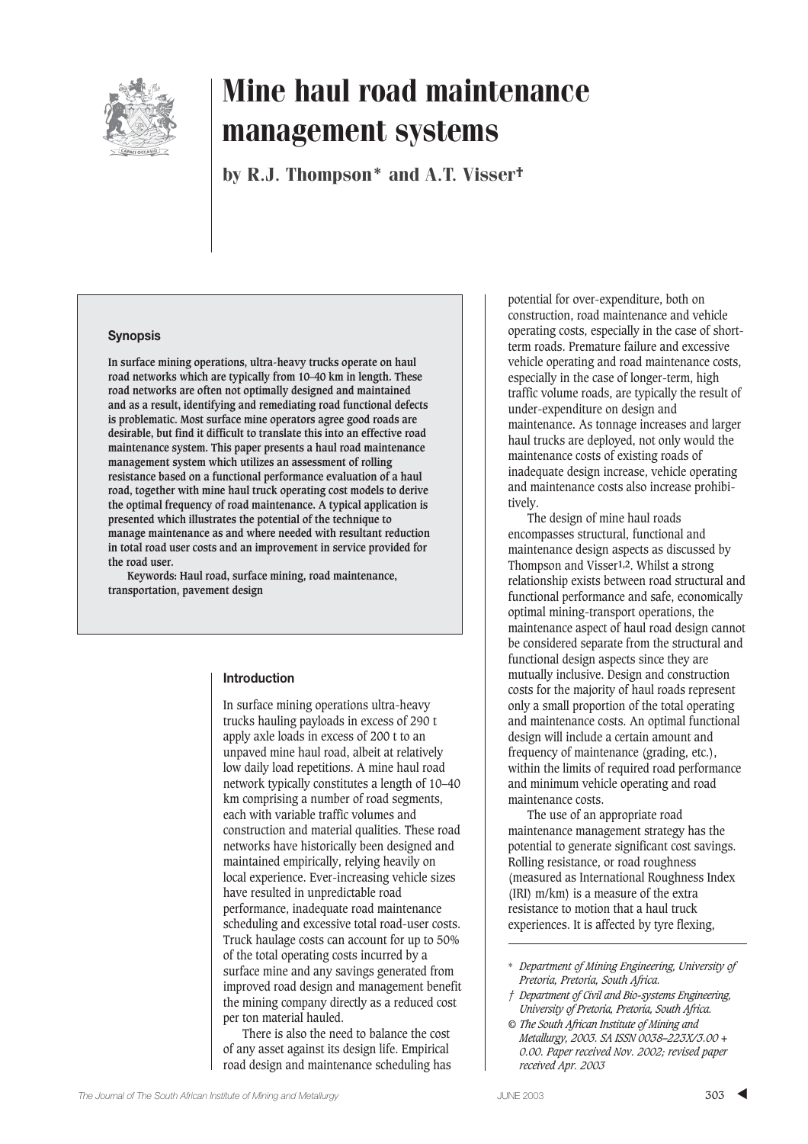

by R.J. Thompson\* and A.T. Visser†

## **Synopsis**

**In surface mining operations, ultra-heavy trucks operate on haul road networks which are typically from 10–40 km in length. These road networks are often not optimally designed and maintained and as a result, identifying and remediating road functional defects is problematic. Most surface mine operators agree good roads are desirable, but find it difficult to translate this into an effective road maintenance system. This paper presents a haul road maintenance management system which utilizes an assessment of rolling resistance based on a functional performance evaluation of a haul road, together with mine haul truck operating cost models to derive the optimal frequency of road maintenance. A typical application is presented which illustrates the potential of the technique to manage maintenance as and where needed with resultant reduction in total road user costs and an improvement in service provided for the road user.**

**Keywords: Haul road, surface mining, road maintenance, transportation, pavement design**

#### **Introduction**

In surface mining operations ultra-heavy trucks hauling payloads in excess of 290 t apply axle loads in excess of 200 t to an unpaved mine haul road, albeit at relatively low daily load repetitions. A mine haul road network typically constitutes a length of 10–40 km comprising a number of road segments, each with variable traffic volumes and construction and material qualities. These road networks have historically been designed and maintained empirically, relying heavily on local experience. Ever-increasing vehicle sizes have resulted in unpredictable road performance, inadequate road maintenance scheduling and excessive total road-user costs. Truck haulage costs can account for up to 50% of the total operating costs incurred by a surface mine and any savings generated from improved road design and management benefit the mining company directly as a reduced cost per ton material hauled.

There is also the need to balance the cost of any asset against its design life. Empirical road design and maintenance scheduling has

potential for over-expenditure, both on construction, road maintenance and vehicle operating costs, especially in the case of shortterm roads. Premature failure and excessive vehicle operating and road maintenance costs, especially in the case of longer-term, high traffic volume roads, are typically the result of under-expenditure on design and maintenance. As tonnage increases and larger haul trucks are deployed, not only would the maintenance costs of existing roads of inadequate design increase, vehicle operating and maintenance costs also increase prohibitively.

The design of mine haul roads encompasses structural, functional and maintenance design aspects as discussed by Thompson and Visser**1,2**. Whilst a strong relationship exists between road structural and functional performance and safe, economically optimal mining-transport operations, the maintenance aspect of haul road design cannot be considered separate from the structural and functional design aspects since they are mutually inclusive. Design and construction costs for the majority of haul roads represent only a small proportion of the total operating and maintenance costs. An optimal functional design will include a certain amount and frequency of maintenance (grading, etc.), within the limits of required road performance and minimum vehicle operating and road maintenance costs.

The use of an appropriate road maintenance management strategy has the potential to generate significant cost savings. Rolling resistance, or road roughness (measured as International Roughness Index (IRI) m/km) is a measure of the extra resistance to motion that a haul truck experiences. It is affected by tyre flexing,

- *† Department of Civil and Bio-systems Engineering, University of Pretoria, Pretoria, South Africa.*
- *© The South African Institute of Mining and Metallurgy, 2003. SA ISSN 0038–223X/3.00 + 0.00. Paper received Nov. 2002; revised paper received Apr. 2003*

<sup>\*</sup> *Department of Mining Engineering, University of Pretoria, Pretoria, South Africa.*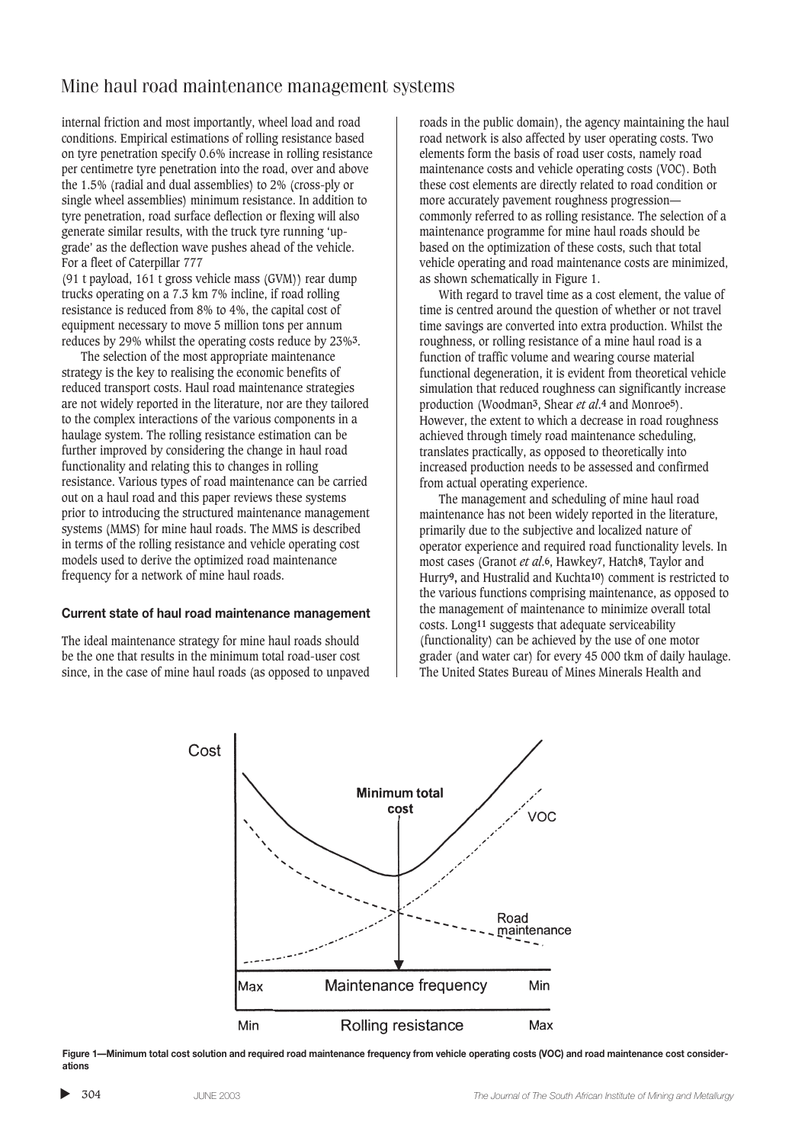internal friction and most importantly, wheel load and road conditions. Empirical estimations of rolling resistance based on tyre penetration specify 0.6% increase in rolling resistance per centimetre tyre penetration into the road, over and above the 1.5% (radial and dual assemblies) to 2% (cross-ply or single wheel assemblies) minimum resistance. In addition to tyre penetration, road surface deflection or flexing will also generate similar results, with the truck tyre running 'upgrade' as the deflection wave pushes ahead of the vehicle. For a fleet of Caterpillar 777

(91 t payload, 161 t gross vehicle mass (GVM)) rear dump trucks operating on a 7.3 km 7% incline, if road rolling resistance is reduced from 8% to 4%, the capital cost of equipment necessary to move 5 million tons per annum reduces by 29% whilst the operating costs reduce by 23%**3**.

The selection of the most appropriate maintenance strategy is the key to realising the economic benefits of reduced transport costs. Haul road maintenance strategies are not widely reported in the literature, nor are they tailored to the complex interactions of the various components in a haulage system. The rolling resistance estimation can be further improved by considering the change in haul road functionality and relating this to changes in rolling resistance. Various types of road maintenance can be carried out on a haul road and this paper reviews these systems prior to introducing the structured maintenance management systems (MMS) for mine haul roads. The MMS is described in terms of the rolling resistance and vehicle operating cost models used to derive the optimized road maintenance frequency for a network of mine haul roads.

#### **Current state of haul road maintenance management**

The ideal maintenance strategy for mine haul roads should be the one that results in the minimum total road-user cost since, in the case of mine haul roads (as opposed to unpaved roads in the public domain), the agency maintaining the haul road network is also affected by user operating costs. Two elements form the basis of road user costs, namely road maintenance costs and vehicle operating costs (VOC). Both these cost elements are directly related to road condition or more accurately pavement roughness progression commonly referred to as rolling resistance. The selection of a maintenance programme for mine haul roads should be based on the optimization of these costs, such that total vehicle operating and road maintenance costs are minimized, as shown schematically in Figure 1.

With regard to travel time as a cost element, the value of time is centred around the question of whether or not travel time savings are converted into extra production. Whilst the roughness, or rolling resistance of a mine haul road is a function of traffic volume and wearing course material functional degeneration, it is evident from theoretical vehicle simulation that reduced roughness can significantly increase production (Woodman**3**, Shear *et al*.**4** and Monroe**5**). However, the extent to which a decrease in road roughness achieved through timely road maintenance scheduling, translates practically, as opposed to theoretically into increased production needs to be assessed and confirmed from actual operating experience.

The management and scheduling of mine haul road maintenance has not been widely reported in the literature, primarily due to the subjective and localized nature of operator experience and required road functionality levels. In most cases (Granot *et al*.**6**, Hawkey**7**, Hatch**8**, Taylor and Hurry**9,** and Hustralid and Kuchta**10**) comment is restricted to the various functions comprising maintenance, as opposed to the management of maintenance to minimize overall total costs. Long**11** suggests that adequate serviceability (functionality) can be achieved by the use of one motor grader (and water car) for every 45 000 tkm of daily haulage. The United States Bureau of Mines Minerals Health and



**Figure 1—Minimum total cost solution and required road maintenance frequency from vehicle operating costs (VOC) and road maintenance cost considerations**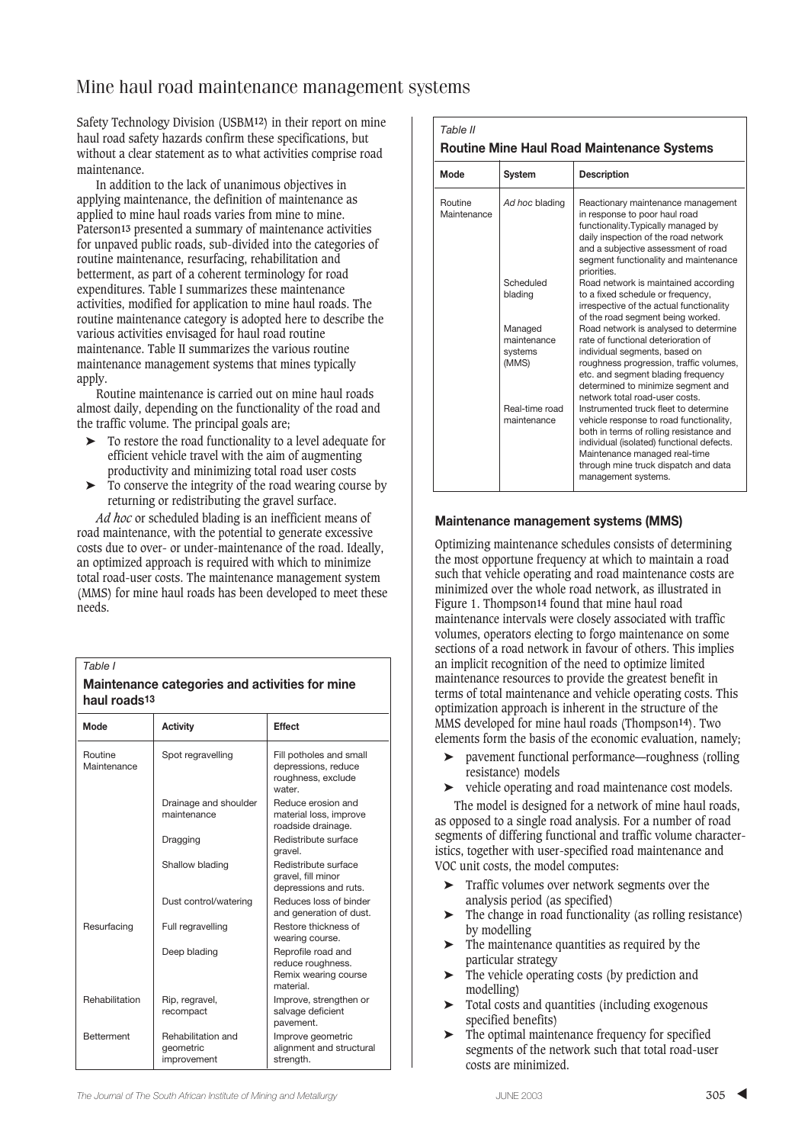Safety Technology Division (USBM**12**) in their report on mine haul road safety hazards confirm these specifications, but without a clear statement as to what activities comprise road maintenance.

In addition to the lack of unanimous objectives in applying maintenance, the definition of maintenance as applied to mine haul roads varies from mine to mine. Paterson**13** presented a summary of maintenance activities for unpaved public roads, sub-divided into the categories of routine maintenance, resurfacing, rehabilitation and betterment, as part of a coherent terminology for road expenditures. Table I summarizes these maintenance activities, modified for application to mine haul roads. The routine maintenance category is adopted here to describe the various activities envisaged for haul road routine maintenance. Table II summarizes the various routine maintenance management systems that mines typically apply.

Routine maintenance is carried out on mine haul roads almost daily, depending on the functionality of the road and the traffic volume. The principal goals are;

- ➤ To restore the road functionality to a level adequate for efficient vehicle travel with the aim of augmenting productivity and minimizing total road user costs
- ➤ To conserve the integrity of the road wearing course by returning or redistributing the gravel surface.

*Ad hoc* or scheduled blading is an inefficient means of road maintenance, with the potential to generate excessive costs due to over- or under-maintenance of the road. Ideally, an optimized approach is required with which to minimize total road-user costs. The maintenance management system (MMS) for mine haul roads has been developed to meet these needs.

| naur rugus :~          |                                                |                                                                                |  |  |  |
|------------------------|------------------------------------------------|--------------------------------------------------------------------------------|--|--|--|
| Mode                   | <b>Activity</b>                                | <b>Effect</b>                                                                  |  |  |  |
| Routine<br>Maintenance | Spot regravelling                              | Fill potholes and small<br>depressions, reduce<br>roughness, exclude<br>water. |  |  |  |
|                        | Drainage and shoulder<br>maintenance           | Reduce erosion and<br>material loss, improve<br>roadside drainage.             |  |  |  |
|                        | Dragging                                       | Redistribute surface<br>gravel.                                                |  |  |  |
|                        | Shallow blading                                | Redistribute surface<br>gravel, fill minor<br>depressions and ruts.            |  |  |  |
|                        | Dust control/watering                          | Reduces loss of binder<br>and generation of dust.                              |  |  |  |
| Resurfacing            | Full regravelling                              | Restore thickness of<br>wearing course.                                        |  |  |  |
|                        | Deep blading                                   | Reprofile road and<br>reduce roughness.<br>Remix wearing course<br>material    |  |  |  |
| Rehabilitation         | Rip, regravel,<br>recompact                    | Improve, strengthen or<br>salvage deficient<br>pavement.                       |  |  |  |
| <b>Betterment</b>      | Rehabilitation and<br>qeometric<br>improvement | Improve geometric<br>alignment and structural<br>strength.                     |  |  |  |

| Maintenance categories and activities for mine |
|------------------------------------------------|
| haul roads <sup>13</sup>                       |

| Mode                          | <b>System</b>                              | <b>Description</b>                                                                                                                                                                                                                                                       |
|-------------------------------|--------------------------------------------|--------------------------------------------------------------------------------------------------------------------------------------------------------------------------------------------------------------------------------------------------------------------------|
| <b>Routine</b><br>Maintenance | Ad hoc blading                             | Reactionary maintenance management<br>in response to poor haul road<br>functionality. Typically managed by<br>daily inspection of the road network<br>and a subjective assessment of road<br>segment functionality and maintenance<br>priorities.                        |
|                               | Scheduled<br>blading                       | Road network is maintained according<br>to a fixed schedule or frequency,<br>irrespective of the actual functionality<br>of the road segment being worked.                                                                                                               |
|                               | Managed<br>maintenance<br>systems<br>(MMS) | Road network is analysed to determine<br>rate of functional deterioration of<br>individual segments, based on<br>roughness progression, traffic volumes,<br>etc. and segment blading frequency<br>determined to minimize segment and<br>network total road-user costs.   |
|                               | Real-time road<br>maintenance              | Instrumented truck fleet to determine<br>vehicle response to road functionality,<br>both in terms of rolling resistance and<br>individual (isolated) functional defects.<br>Maintenance managed real-time<br>through mine truck dispatch and data<br>management systems. |

## **Maintenance management systems (MMS)**

Optimizing maintenance schedules consists of determining the most opportune frequency at which to maintain a road such that vehicle operating and road maintenance costs are minimized over the whole road network, as illustrated in Figure 1. Thompson**14** found that mine haul road maintenance intervals were closely associated with traffic volumes, operators electing to forgo maintenance on some sections of a road network in favour of others. This implies an implicit recognition of the need to optimize limited maintenance resources to provide the greatest benefit in terms of total maintenance and vehicle operating costs. This optimization approach is inherent in the structure of the MMS developed for mine haul roads (Thompson**14**). Two elements form the basis of the economic evaluation, namely;

- ➤ pavement functional performance—roughness (rolling resistance) models
- ➤ vehicle operating and road maintenance cost models.

The model is designed for a network of mine haul roads, as opposed to a single road analysis. For a number of road segments of differing functional and traffic volume characteristics, together with user-specified road maintenance and VOC unit costs, the model computes:

- ➤ Traffic volumes over network segments over the analysis period (as specified)
- ➤ The change in road functionality (as rolling resistance) by modelling
- ➤ The maintenance quantities as required by the particular strategy
- ➤ The vehicle operating costs (by prediction and modelling)
- ➤ Total costs and quantities (including exogenous specified benefits)
- ➤ The optimal maintenance frequency for specified segments of the network such that total road-user costs are minimized.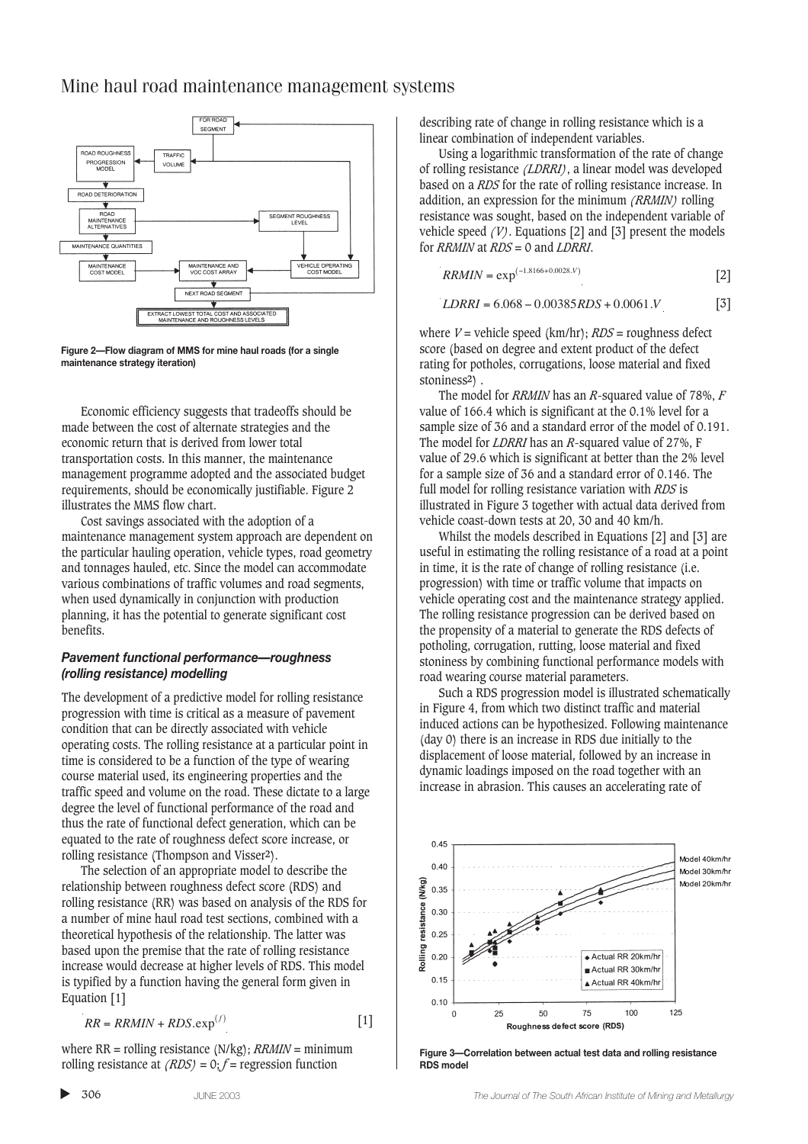

**Figure 2—Flow diagram of MMS for mine haul roads (for a single maintenance strategy iteration)**

Economic efficiency suggests that tradeoffs should be made between the cost of alternate strategies and the economic return that is derived from lower total transportation costs. In this manner, the maintenance management programme adopted and the associated budget requirements, should be economically justifiable. Figure 2 illustrates the MMS flow chart.

Cost savings associated with the adoption of a maintenance management system approach are dependent on the particular hauling operation, vehicle types, road geometry and tonnages hauled, etc. Since the model can accommodate various combinations of traffic volumes and road segments, when used dynamically in conjunction with production planning, it has the potential to generate significant cost benefits.

## *Pavement functional performance—roughness (rolling resistance) modelling*

The development of a predictive model for rolling resistance progression with time is critical as a measure of pavement condition that can be directly associated with vehicle operating costs. The rolling resistance at a particular point in time is considered to be a function of the type of wearing course material used, its engineering properties and the traffic speed and volume on the road. These dictate to a large degree the level of functional performance of the road and thus the rate of functional defect generation, which can be equated to the rate of roughness defect score increase, or rolling resistance (Thompson and Visser**2**).

The selection of an appropriate model to describe the relationship between roughness defect score (RDS) and rolling resistance (RR) was based on analysis of the RDS for a number of mine haul road test sections, combined with a theoretical hypothesis of the relationship. The latter was based upon the premise that the rate of rolling resistance increase would decrease at higher levels of RDS. This model is typified by a function having the general form given in Equation [1]

$$
RR = RRMIN + RDS \cdot \exp^{(f)} \tag{1}
$$

where RR = rolling resistance (N/kg); *RRMIN* = minimum rolling resistance at *(RDS)* = 0; *f* = regression function

describing rate of change in rolling resistance which is a linear combination of independent variables.

Using a logarithmic transformation of the rate of change of rolling resistance *(LDRRI)*, a linear model was developed based on a *RDS* for the rate of rolling resistance increase. In addition, an expression for the minimum *(RRMIN)* rolling resistance was sought, based on the independent variable of vehicle speed *(V)*. Equations [2] and [3] present the models for *RRMIN* at *RDS* = 0 and *LDRRI*.

$$
RRMIN = \exp^{(-1.8166 + 0.0028.V)} \tag{2}
$$

$$
LDRRI = 6.068 - 0.00385RDS + 0.0061V
$$
 [3]

where *V* = vehicle speed (km/hr); *RDS* = roughness defect score (based on degree and extent product of the defect rating for potholes, corrugations, loose material and fixed stoniness**2**) .

The model for *RRMIN* has an *R*-squared value of 78%, *F* value of 166.4 which is significant at the 0.1% level for a sample size of 36 and a standard error of the model of 0.191. The model for *LDRRI* has an *R*-squared value of 27%, F value of 29.6 which is significant at better than the 2% level for a sample size of 36 and a standard error of 0.146. The full model for rolling resistance variation with *RDS* is illustrated in Figure 3 together with actual data derived from vehicle coast-down tests at 20, 30 and 40 km/h.

Whilst the models described in Equations [2] and [3] are useful in estimating the rolling resistance of a road at a point in time, it is the rate of change of rolling resistance (i.e. progression) with time or traffic volume that impacts on vehicle operating cost and the maintenance strategy applied. The rolling resistance progression can be derived based on the propensity of a material to generate the RDS defects of potholing, corrugation, rutting, loose material and fixed stoniness by combining functional performance models with road wearing course material parameters.

Such a RDS progression model is illustrated schematically in Figure 4, from which two distinct traffic and material induced actions can be hypothesized. Following maintenance (day 0) there is an increase in RDS due initially to the displacement of loose material, followed by an increase in dynamic loadings imposed on the road together with an increase in abrasion. This causes an accelerating rate of



**Figure 3—Correlation between actual test data and rolling resistance RDS model**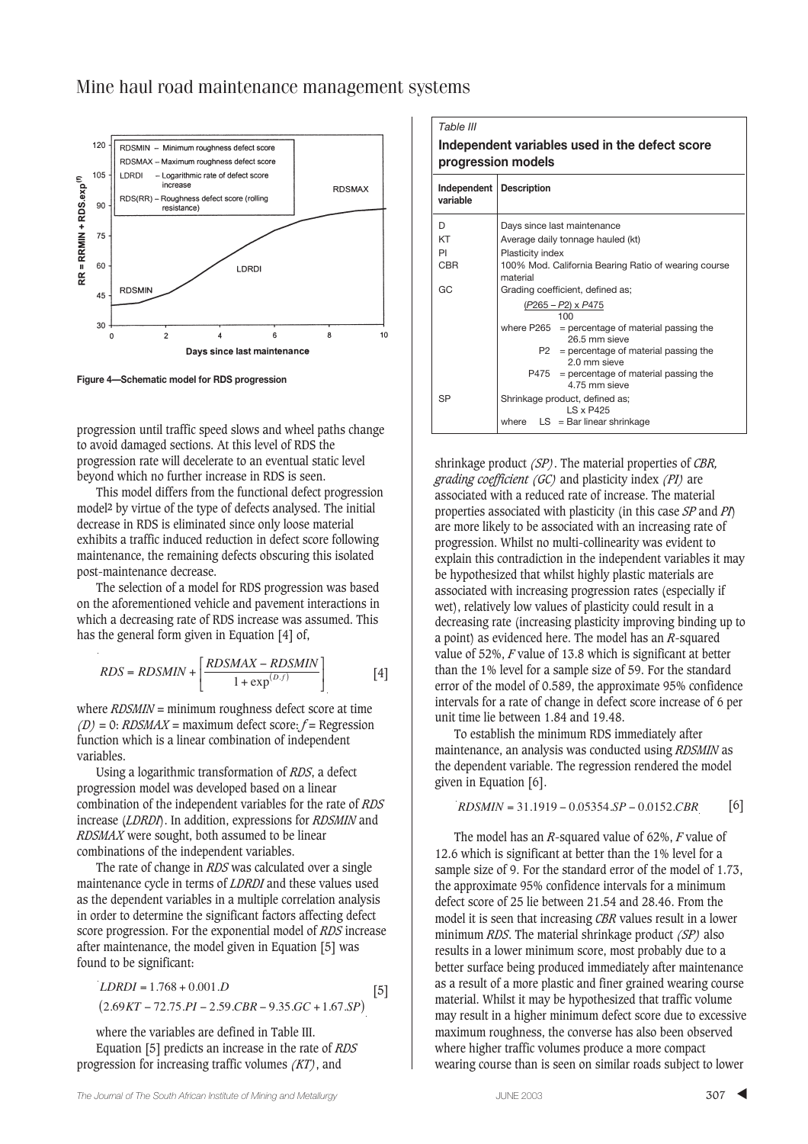

**Figure 4—Schematic model for RDS progression**

progression until traffic speed slows and wheel paths change to avoid damaged sections. At this level of RDS the progression rate will decelerate to an eventual static level beyond which no further increase in RDS is seen.

This model differs from the functional defect progression model**2** by virtue of the type of defects analysed. The initial decrease in RDS is eliminated since only loose material exhibits a traffic induced reduction in defect score following maintenance, the remaining defects obscuring this isolated post-maintenance decrease.

The selection of a model for RDS progression was based on the aforementioned vehicle and pavement interactions in which a decreasing rate of RDS increase was assumed. This has the general form given in Equation [4] of,

$$
RDS = RDSMIN + \left[ \frac{RDSMAX - RDSMIN}{1 + \exp^{(D,f)}} \right] \tag{4}
$$

where *RDSMIN* = minimum roughness defect score at time *(D)* = 0: *RDSMAX* = maximum defect score: *f* = Regression function which is a linear combination of independent variables.

Using a logarithmic transformation of *RDS*, a defect progression model was developed based on a linear combination of the independent variables for the rate of *RDS* increase (*LDRDI*). In addition, expressions for *RDSMIN* and *RDSMAX* were sought, both assumed to be linear combinations of the independent variables.

The rate of change in *RDS* was calculated over a single maintenance cycle in terms of *LDRDI* and these values used as the dependent variables in a multiple correlation analysis in order to determine the significant factors affecting defect score progression. For the exponential model of *RDS* increase after maintenance, the model given in Equation [5] was found to be significant:

$$
LDRDI = 1.768 + 0.001.D
$$
\n
$$
(2.69KT - 72.75.PI - 2.59.CBR - 9.35.GC + 1.67.SP)
$$
\n[5]

where the variables are defined in Table III. Equation [5] predicts an increase in the rate of *RDS* progression for increasing traffic volumes *(KT)*, and

| Table III<br>Independent variables used in the defect score<br>progression models |                                                                      |  |  |  |
|-----------------------------------------------------------------------------------|----------------------------------------------------------------------|--|--|--|
| Independent   Description<br>variable                                             |                                                                      |  |  |  |
| D                                                                                 | Days since last maintenance                                          |  |  |  |
| KT                                                                                | Average daily tonnage hauled (kt)                                    |  |  |  |
| PI                                                                                | Plasticity index                                                     |  |  |  |
| CBR                                                                               | 100% Mod. California Bearing Ratio of wearing course<br>material     |  |  |  |
| GC                                                                                | Grading coefficient, defined as;<br>$(P265 - P2) \times P475$<br>100 |  |  |  |
|                                                                                   |                                                                      |  |  |  |
|                                                                                   | where $P265 =$ percentage of material passing the<br>26.5 mm sieve   |  |  |  |
|                                                                                   | $P2 =$ percentage of material passing the<br>2.0 mm sieve            |  |  |  |
|                                                                                   | P475<br>$=$ percentage of material passing the<br>4.75 mm sieve      |  |  |  |
| <b>SP</b>                                                                         | Shrinkage product, defined as;<br>IS x P425                          |  |  |  |
|                                                                                   | where $LS = Bar linear shrinkage$                                    |  |  |  |

shrinkage product *(SP)*. The material properties of *CBR, grading coefficient (GC)* and plasticity index *(PI)* are associated with a reduced rate of increase. The material properties associated with plasticity (in this case *SP* and *PI*) are more likely to be associated with an increasing rate of progression. Whilst no multi-collinearity was evident to explain this contradiction in the independent variables it may be hypothesized that whilst highly plastic materials are associated with increasing progression rates (especially if wet), relatively low values of plasticity could result in a decreasing rate (increasing plasticity improving binding up to a point) as evidenced here. The model has an *R*-squared value of 52%, *F* value of 13.8 which is significant at better than the 1% level for a sample size of 59. For the standard error of the model of 0.589, the approximate 95% confidence intervals for a rate of change in defect score increase of 6 per unit time lie between 1.84 and 19.48.

To establish the minimum RDS immediately after maintenance, an analysis was conducted using *RDSMIN* as the dependent variable. The regression rendered the model given in Equation [6].

$$
RDSMIN = 31.1919 - 0.05354.SP - 0.0152.CBR
$$
 [6]

The model has an *R*-squared value of 62%, *F* value of 12.6 which is significant at better than the 1% level for a sample size of 9. For the standard error of the model of 1.73, the approximate 95% confidence intervals for a minimum defect score of 25 lie between 21.54 and 28.46. From the model it is seen that increasing *CBR* values result in a lower minimum *RDS*. The material shrinkage product *(SP)* also results in a lower minimum score, most probably due to a better surface being produced immediately after maintenance as a result of a more plastic and finer grained wearing course material. Whilst it may be hypothesized that traffic volume may result in a higher minimum defect score due to excessive maximum roughness, the converse has also been observed where higher traffic volumes produce a more compact wearing course than is seen on similar roads subject to lower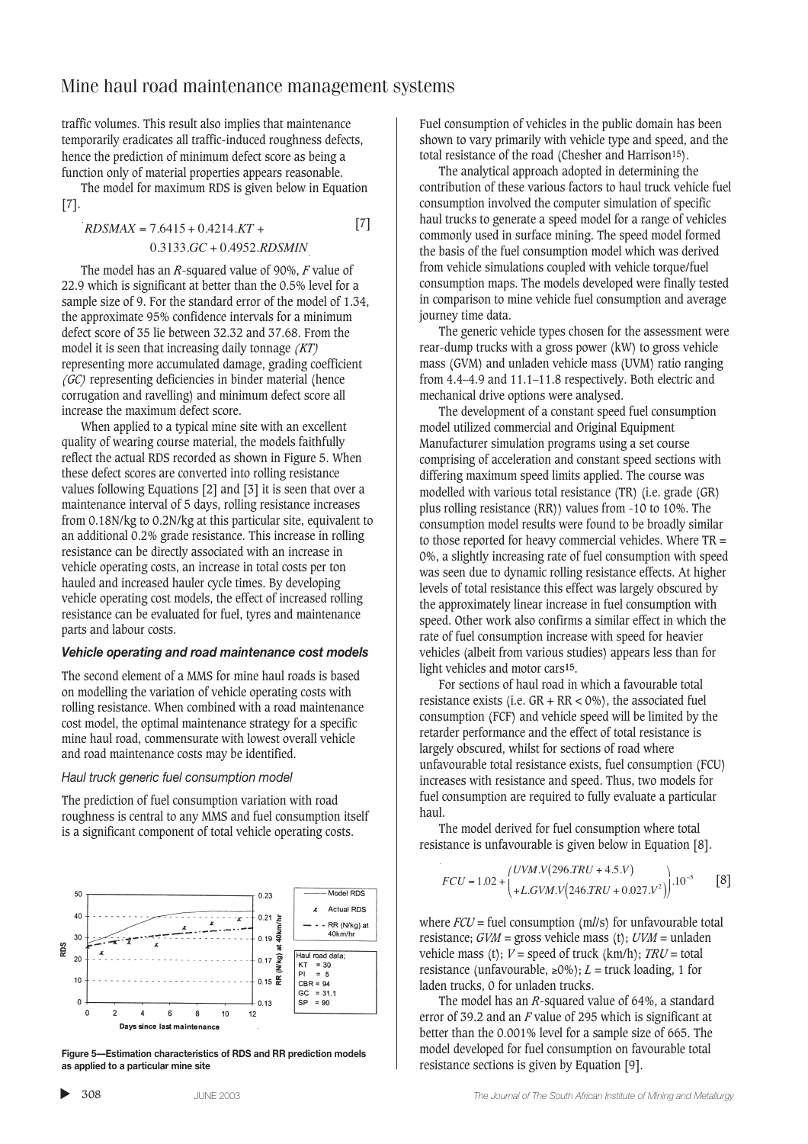[7]

traffic volumes. This result also implies that maintenance temporarily eradicates all traffic-induced roughness defects, hence the prediction of minimum defect score as being a function only of material properties appears reasonable.

The model for maximum RDS is given below in Equation [7].

 $RDSMAX = 7.6415 + 0.4214$ . $KT +$ 

$$
0.3133.GC + 0.4952.RDSMIN
$$

The model has an *R*-squared value of 90%, *F* value of 22.9 which is significant at better than the 0.5% level for a sample size of 9. For the standard error of the model of 1.34, the approximate 95% confidence intervals for a minimum defect score of 35 lie between 32.32 and 37.68. From the model it is seen that increasing daily tonnage *(KT)* representing more accumulated damage, grading coefficient *(GC)* representing deficiencies in binder material (hence corrugation and ravelling) and minimum defect score all increase the maximum defect score.

When applied to a typical mine site with an excellent quality of wearing course material, the models faithfully reflect the actual RDS recorded as shown in Figure 5. When these defect scores are converted into rolling resistance values following Equations [2] and [3] it is seen that over a maintenance interval of 5 days, rolling resistance increases from 0.18N/kg to 0.2N/kg at this particular site, equivalent to an additional 0.2% grade resistance. This increase in rolling resistance can be directly associated with an increase in vehicle operating costs, an increase in total costs per ton hauled and increased hauler cycle times. By developing vehicle operating cost models, the effect of increased rolling resistance can be evaluated for fuel, tyres and maintenance parts and labour costs.

#### *Vehicle operating and road maintenance cost models*

The second element of a MMS for mine haul roads is based on modelling the variation of vehicle operating costs with rolling resistance. When combined with a road maintenance cost model, the optimal maintenance strategy for a specific mine haul road, commensurate with lowest overall vehicle and road maintenance costs may be identified.

#### *Haul truck generic fuel consumption model*

The prediction of fuel consumption variation with road roughness is central to any MMS and fuel consumption itself is a significant component of total vehicle operating costs.



**Figure 5—Estimation characteristics of RDS and RR prediction models as applied to a particular mine site**

Fuel consumption of vehicles in the public domain has been shown to vary primarily with vehicle type and speed, and the total resistance of the road (Chesher and Harrison15).

The analytical approach adopted in determining the contribution of these various factors to haul truck vehicle fuel consumption involved the computer simulation of specific haul trucks to generate a speed model for a range of vehicles commonly used in surface mining. The speed model formed the basis of the fuel consumption model which was derived from vehicle simulations coupled with vehicle torque/fuel consumption maps. The models developed were finally tested in comparison to mine vehicle fuel consumption and average journey time data.

The generic vehicle types chosen for the assessment were rear-dump trucks with a gross power (kW) to gross vehicle mass (GVM) and unladen vehicle mass (UVM) ratio ranging from 4.4–4.9 and 11.1–11.8 respectively. Both electric and mechanical drive options were analysed.

The development of a constant speed fuel consumption model utilized commercial and Original Equipment Manufacturer simulation programs using a set course comprising of acceleration and constant speed sections with differing maximum speed limits applied. The course was modelled with various total resistance (TR) (i.e. grade (GR) plus rolling resistance (RR)) values from -10 to 10%. The consumption model results were found to be broadly similar to those reported for heavy commercial vehicles. Where TR = 0%, a slightly increasing rate of fuel consumption with speed was seen due to dynamic rolling resistance effects. At higher levels of total resistance this effect was largely obscured by the approximately linear increase in fuel consumption with speed. Other work also confirms a similar effect in which the rate of fuel consumption increase with speed for heavier vehicles (albeit from various studies) appears less than for light vehicles and motor cars**15**.

For sections of haul road in which a favourable total resistance exists (i.e.  $GR + RR < 0\%$ ), the associated fuel consumption (FCF) and vehicle speed will be limited by the retarder performance and the effect of total resistance is largely obscured, whilst for sections of road where unfavourable total resistance exists, fuel consumption (FCU) increases with resistance and speed. Thus, two models for fuel consumption are required to fully evaluate a particular haul.

The model derived for fuel consumption where total resistance is unfavourable is given below in Equation [8].

$$
FCU = 1.02 + {UVM.V(296.TRU + 4.5.V) \choose + L.GVM.V(246.TRU + 0.027.V^2)} \cdot 10^{-5}
$$
 [8]

where *FCU* = fuel consumption (m*l*/s) for unfavourable total resistance; *GVM* = gross vehicle mass (t); *UVM* = unladen vehicle mass (t);  $V =$  speed of truck (km/h);  $TRU =$  total resistance (unfavourable,  $\geq 0\%$ ); *L* = truck loading, 1 for laden trucks, 0 for unladen trucks.

The model has an *R*-squared value of 64%, a standard error of 39.2 and an *F* value of 295 which is significant at better than the 0.001% level for a sample size of 665. The model developed for fuel consumption on favourable total resistance sections is given by Equation [9].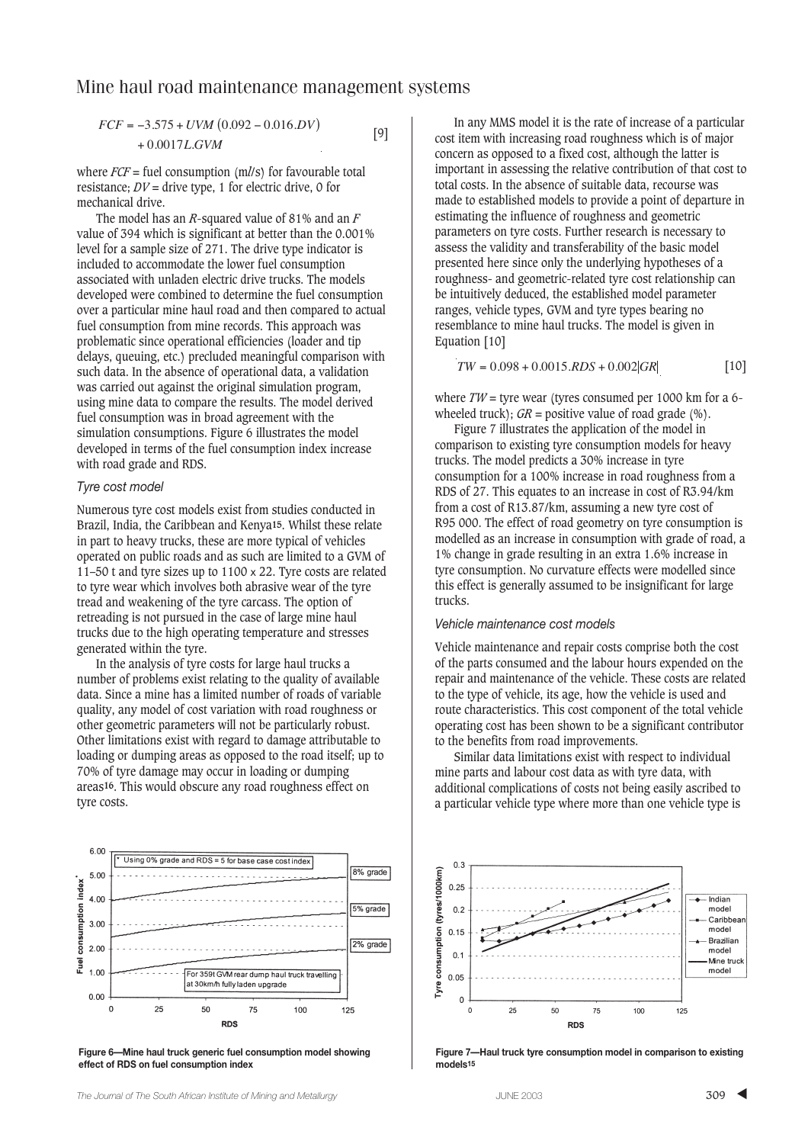[9]

 $FCF = -3.575 + UVM (0.092 - 0.016.DV)$  $+0.0017$ *L.GVM* 

where *FCF* = fuel consumption (m*l*/s) for favourable total resistance:  $DV =$  drive type, 1 for electric drive, 0 for mechanical drive.

The model has an *R*-squared value of 81% and an *F* value of 394 which is significant at better than the 0.001% level for a sample size of 271. The drive type indicator is included to accommodate the lower fuel consumption associated with unladen electric drive trucks. The models developed were combined to determine the fuel consumption over a particular mine haul road and then compared to actual fuel consumption from mine records. This approach was problematic since operational efficiencies (loader and tip delays, queuing, etc.) precluded meaningful comparison with such data. In the absence of operational data, a validation was carried out against the original simulation program, using mine data to compare the results. The model derived fuel consumption was in broad agreement with the simulation consumptions. Figure 6 illustrates the model developed in terms of the fuel consumption index increase with road grade and RDS.

### *Tyre cost model*

Numerous tyre cost models exist from studies conducted in Brazil, India, the Caribbean and Kenya**15**. Whilst these relate in part to heavy trucks, these are more typical of vehicles operated on public roads and as such are limited to a GVM of 11–50 t and tyre sizes up to 1100 x 22. Tyre costs are related to tyre wear which involves both abrasive wear of the tyre tread and weakening of the tyre carcass. The option of retreading is not pursued in the case of large mine haul trucks due to the high operating temperature and stresses generated within the tyre.

In the analysis of tyre costs for large haul trucks a number of problems exist relating to the quality of available data. Since a mine has a limited number of roads of variable quality, any model of cost variation with road roughness or other geometric parameters will not be particularly robust. Other limitations exist with regard to damage attributable to loading or dumping areas as opposed to the road itself; up to 70% of tyre damage may occur in loading or dumping areas**16**. This would obscure any road roughness effect on tyre costs.



**Figure 6—Mine haul truck generic fuel consumption model showing effect of RDS on fuel consumption index**

In any MMS model it is the rate of increase of a particular cost item with increasing road roughness which is of major concern as opposed to a fixed cost, although the latter is important in assessing the relative contribution of that cost to total costs. In the absence of suitable data, recourse was made to established models to provide a point of departure in estimating the influence of roughness and geometric parameters on tyre costs. Further research is necessary to assess the validity and transferability of the basic model presented here since only the underlying hypotheses of a roughness- and geometric-related tyre cost relationship can be intuitively deduced, the established model parameter ranges, vehicle types, GVM and tyre types bearing no resemblance to mine haul trucks. The model is given in Equation [10]

$$
TW = 0.098 + 0.0015.RDS + 0.002|GR|
$$
 [10]

where  $TW =$  tyre wear (tyres consumed per 1000 km for a 6wheeled truck);  $GR =$  positive value of road grade (%).

Figure 7 illustrates the application of the model in comparison to existing tyre consumption models for heavy trucks. The model predicts a 30% increase in tyre consumption for a 100% increase in road roughness from a RDS of 27. This equates to an increase in cost of R3.94/km from a cost of R13.87/km, assuming a new tyre cost of R95 000. The effect of road geometry on tyre consumption is modelled as an increase in consumption with grade of road, a 1% change in grade resulting in an extra 1.6% increase in tyre consumption. No curvature effects were modelled since this effect is generally assumed to be insignificant for large trucks.

## *Vehicle maintenance cost models*

Vehicle maintenance and repair costs comprise both the cost of the parts consumed and the labour hours expended on the repair and maintenance of the vehicle. These costs are related to the type of vehicle, its age, how the vehicle is used and route characteristics. This cost component of the total vehicle operating cost has been shown to be a significant contributor to the benefits from road improvements.

Similar data limitations exist with respect to individual mine parts and labour cost data as with tyre data, with additional complications of costs not being easily ascribed to a particular vehicle type where more than one vehicle type is



**Figure 7—Haul truck tyre consumption model in comparison to existing models15**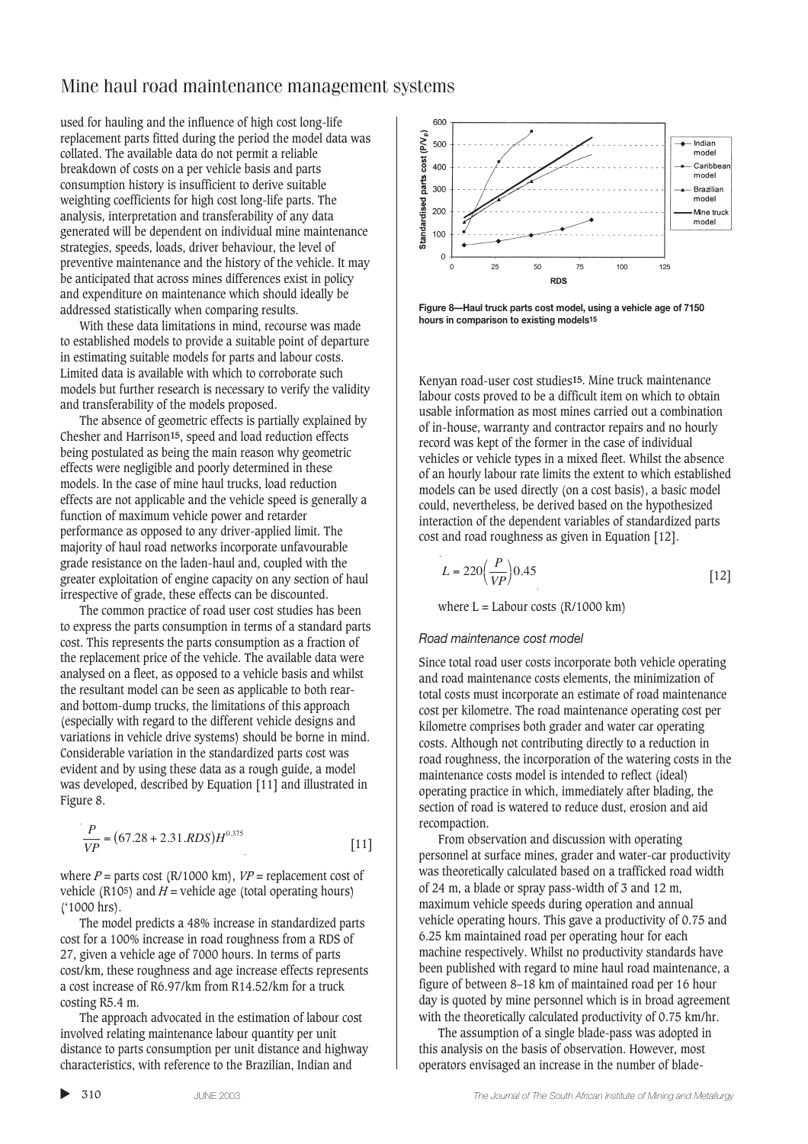used for hauling and the influence of high cost long-life replacement parts fitted during the period the model data was collated. The available data do not permit a reliable breakdown of costs on a per vehicle basis and parts consumption history is insufficient to derive suitable weighting coefficients for high cost long-life parts. The analysis, interpretation and transferability of any data generated will be dependent on individual mine maintenance strategies, speeds, loads, driver behaviour, the level of preventive maintenance and the history of the vehicle. It may be anticipated that across mines differences exist in policy and expenditure on maintenance which should ideally be addressed statistically when comparing results.

With these data limitations in mind, recourse was made to established models to provide a suitable point of departure in estimating suitable models for parts and labour costs. Limited data is available with which to corroborate such models but further research is necessary to verify the validity and transferability of the models proposed.

The absence of geometric effects is partially explained by Chesher and Harrison**15**, speed and load reduction effects being postulated as being the main reason why geometric effects were negligible and poorly determined in these models. In the case of mine haul trucks, load reduction effects are not applicable and the vehicle speed is generally a function of maximum vehicle power and retarder performance as opposed to any driver-applied limit. The majority of haul road networks incorporate unfavourable grade resistance on the laden-haul and, coupled with the greater exploitation of engine capacity on any section of haul irrespective of grade, these effects can be discounted.

The common practice of road user cost studies has been to express the parts consumption in terms of a standard parts cost. This represents the parts consumption as a fraction of the replacement price of the vehicle. The available data were analysed on a fleet, as opposed to a vehicle basis and whilst the resultant model can be seen as applicable to both rearand bottom-dump trucks, the limitations of this approach (especially with regard to the different vehicle designs and variations in vehicle drive systems) should be borne in mind. Considerable variation in the standardized parts cost was evident and by using these data as a rough guide, a model was developed, described by Equation [11] and illustrated in Figure 8.

$$
\frac{P}{VP} = (67.28 + 2.31.RDS)H^{0.375}
$$
 [11]

where  $P =$  parts cost (R/1000 km),  $VP =$  replacement cost of vehicle (R10<sup>5</sup>) and  $H$  = vehicle age (total operating hours) ('1000 hrs).

The model predicts a 48% increase in standardized parts cost for a 100% increase in road roughness from a RDS of 27, given a vehicle age of 7000 hours. In terms of parts cost/km, these roughness and age increase effects represents a cost increase of R6.97/km from R14.52/km for a truck costing R5.4 m.

The approach advocated in the estimation of labour cost involved relating maintenance labour quantity per unit distance to parts consumption per unit distance and highway characteristics, with reference to the Brazilian, Indian and



**Figure 8—Haul truck parts cost model, using a vehicle age of 7150 hours in comparison to existing models15**

Kenyan road-user cost studies**15**. Mine truck maintenance labour costs proved to be a difficult item on which to obtain usable information as most mines carried out a combination of in-house, warranty and contractor repairs and no hourly record was kept of the former in the case of individual vehicles or vehicle types in a mixed fleet. Whilst the absence of an hourly labour rate limits the extent to which established models can be used directly (on a cost basis), a basic model could, nevertheless, be derived based on the hypothesized interaction of the dependent variables of standardized parts cost and road roughness as given in Equation [12].

$$
L = 220 \left(\frac{P}{VP}\right) 0.45
$$
 [12]

where  $L =$  Labour costs ( $R/1000$  km)

### *Road maintenance cost model*

Since total road user costs incorporate both vehicle operating and road maintenance costs elements, the minimization of total costs must incorporate an estimate of road maintenance cost per kilometre. The road maintenance operating cost per kilometre comprises both grader and water car operating costs. Although not contributing directly to a reduction in road roughness, the incorporation of the watering costs in the maintenance costs model is intended to reflect (ideal) operating practice in which, immediately after blading, the section of road is watered to reduce dust, erosion and aid recompaction.

From observation and discussion with operating personnel at surface mines, grader and water-car productivity was theoretically calculated based on a trafficked road width of 24 m, a blade or spray pass-width of 3 and 12 m, maximum vehicle speeds during operation and annual vehicle operating hours. This gave a productivity of 0.75 and 6.25 km maintained road per operating hour for each machine respectively. Whilst no productivity standards have been published with regard to mine haul road maintenance, a figure of between 8–18 km of maintained road per 16 hour day is quoted by mine personnel which is in broad agreement with the theoretically calculated productivity of 0.75 km/hr.

The assumption of a single blade-pass was adopted in this analysis on the basis of observation. However, most operators envisaged an increase in the number of blade-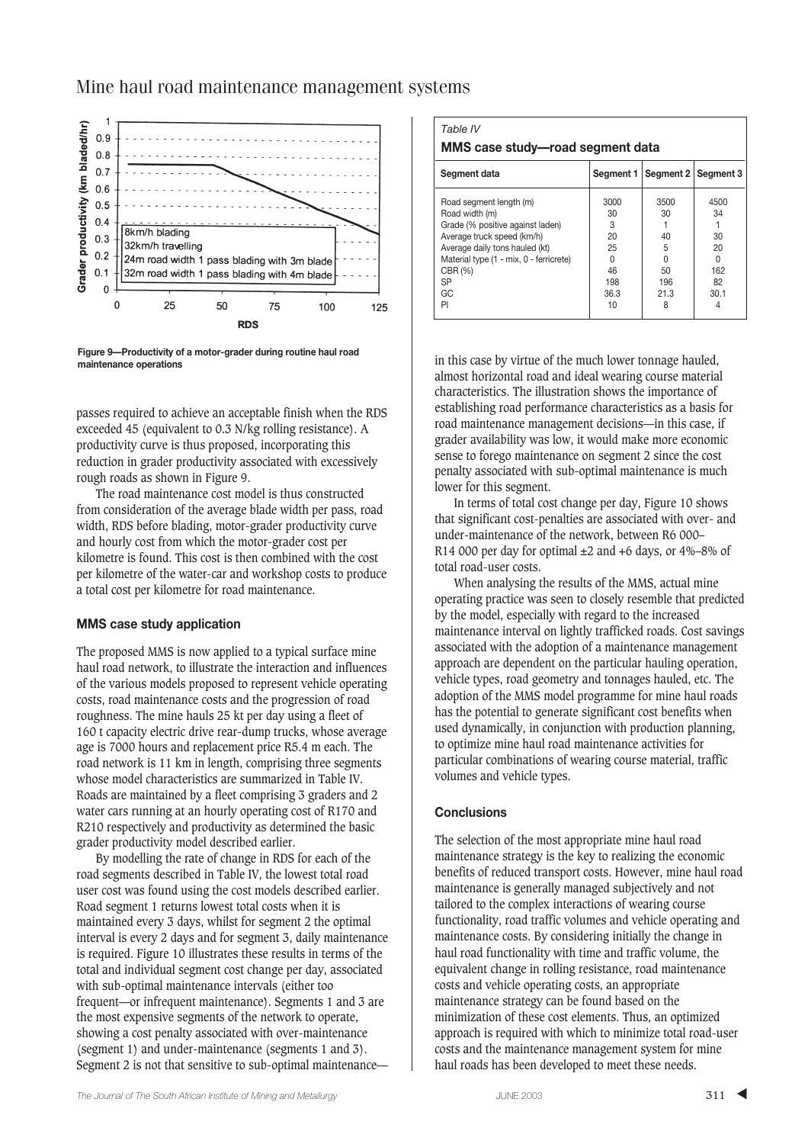

Mine haul road maintenance management systems

**Figure 9—Productivity of a motor-grader during routine haul road maintenance operations**

passes required to achieve an acceptable finish when the RDS exceeded 45 (equivalent to 0.3 N/kg rolling resistance). A productivity curve is thus proposed, incorporating this reduction in grader productivity associated with excessively rough roads as shown in Figure 9.

The road maintenance cost model is thus constructed from consideration of the average blade width per pass, road width, RDS before blading, motor-grader productivity curve and hourly cost from which the motor-grader cost per kilometre is found. This cost is then combined with the cost per kilometre of the water-car and workshop costs to produce a total cost per kilometre for road maintenance.

## **MMS case study application**

The proposed MMS is now applied to a typical surface mine haul road network, to illustrate the interaction and influences of the various models proposed to represent vehicle operating costs, road maintenance costs and the progression of road roughness. The mine hauls 25 kt per day using a fleet of 160 t capacity electric drive rear-dump trucks, whose average age is 7000 hours and replacement price R5.4 m each. The road network is 11 km in length, comprising three segments whose model characteristics are summarized in Table IV. Roads are maintained by a fleet comprising 3 graders and 2 water cars running at an hourly operating cost of R170 and R210 respectively and productivity as determined the basic grader productivity model described earlier.

By modelling the rate of change in RDS for each of the road segments described in Table IV, the lowest total road user cost was found using the cost models described earlier. Road segment 1 returns lowest total costs when it is maintained every 3 days, whilst for segment 2 the optimal interval is every 2 days and for segment 3, daily maintenance is required. Figure 10 illustrates these results in terms of the total and individual segment cost change per day, associated with sub-optimal maintenance intervals (either too frequent—or infrequent maintenance). Segments 1 and 3 are the most expensive segments of the network to operate, showing a cost penalty associated with over-maintenance (segment 1) and under-maintenance (segments 1 and 3). Segment 2 is not that sensitive to sub-optimal maintenance—

| Table IV<br>MMS case study-road segment data                                                                                                                                                                          |                                                             |                                                      |                                                                  |  |  |  |  |
|-----------------------------------------------------------------------------------------------------------------------------------------------------------------------------------------------------------------------|-------------------------------------------------------------|------------------------------------------------------|------------------------------------------------------------------|--|--|--|--|
| Segment data                                                                                                                                                                                                          | Segment 1                                                   | Segment 2   Segment 3                                |                                                                  |  |  |  |  |
| Road segment length (m)<br>Road width (m)<br>Grade (% positive against laden)<br>Average truck speed (km/h)<br>Average daily tons hauled (kt)<br>Material type (1 - mix, 0 - ferricrete)<br>CBR (%)<br>SP<br>GC<br>PI | 3000<br>30<br>3<br>20<br>25<br>U<br>46<br>198<br>36.3<br>10 | 3500<br>30<br>40<br>5<br>U<br>50<br>196<br>21.3<br>8 | 4500<br>34<br>30<br>20<br><sup>n</sup><br>162<br>82<br>30.1<br>4 |  |  |  |  |

in this case by virtue of the much lower tonnage hauled, almost horizontal road and ideal wearing course material characteristics. The illustration shows the importance of establishing road performance characteristics as a basis for road maintenance management decisions—in this case, if grader availability was low, it would make more economic sense to forego maintenance on segment 2 since the cost penalty associated with sub-optimal maintenance is much lower for this segment.

In terms of total cost change per day, Figure 10 shows that significant cost-penalties are associated with over- and under-maintenance of the network, between R6 000– R14 000 per day for optimal  $\pm 2$  and  $+6$  days, or 4%–8% of total road-user costs.

When analysing the results of the MMS, actual mine operating practice was seen to closely resemble that predicted by the model, especially with regard to the increased maintenance interval on lightly trafficked roads. Cost savings associated with the adoption of a maintenance management approach are dependent on the particular hauling operation, vehicle types, road geometry and tonnages hauled, etc. The adoption of the MMS model programme for mine haul roads has the potential to generate significant cost benefits when used dynamically, in conjunction with production planning, to optimize mine haul road maintenance activities for particular combinations of wearing course material, traffic volumes and vehicle types.

## **Conclusions**

The selection of the most appropriate mine haul road maintenance strategy is the key to realizing the economic benefits of reduced transport costs. However, mine haul road maintenance is generally managed subjectively and not tailored to the complex interactions of wearing course functionality, road traffic volumes and vehicle operating and maintenance costs. By considering initially the change in haul road functionality with time and traffic volume, the equivalent change in rolling resistance, road maintenance costs and vehicle operating costs, an appropriate maintenance strategy can be found based on the minimization of these cost elements. Thus, an optimized approach is required with which to minimize total road-user costs and the maintenance management system for mine haul roads has been developed to meet these needs.